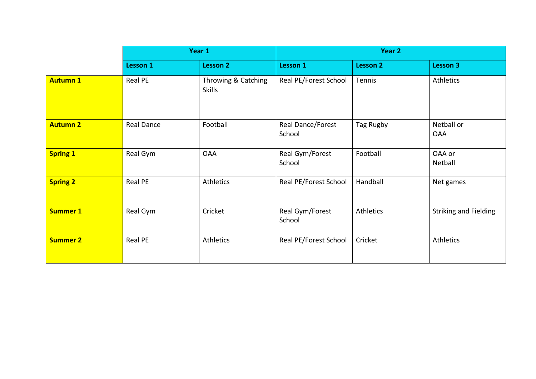|                 | Year 1          |                                      | Year 2                      |                 |                              |  |
|-----------------|-----------------|--------------------------------------|-----------------------------|-----------------|------------------------------|--|
|                 | <b>Lesson 1</b> | <b>Lesson 2</b>                      | <b>Lesson 1</b>             | <b>Lesson 2</b> | Lesson 3                     |  |
| <b>Autumn 1</b> | Real PE         | Throwing & Catching<br><b>Skills</b> | Real PE/Forest School       | Tennis          | <b>Athletics</b>             |  |
| <b>Autumn 2</b> | Real Dance      | Football                             | Real Dance/Forest<br>School | Tag Rugby       | Netball or<br><b>OAA</b>     |  |
| <b>Spring 1</b> | Real Gym        | <b>OAA</b>                           | Real Gym/Forest<br>School   | Football        | OAA or<br>Netball            |  |
| <b>Spring 2</b> | Real PE         | Athletics                            | Real PE/Forest School       | Handball        | Net games                    |  |
| <b>Summer 1</b> | Real Gym        | Cricket                              | Real Gym/Forest<br>School   | Athletics       | <b>Striking and Fielding</b> |  |
| <b>Summer 2</b> | Real PE         | <b>Athletics</b>                     | Real PE/Forest School       | Cricket         | <b>Athletics</b>             |  |